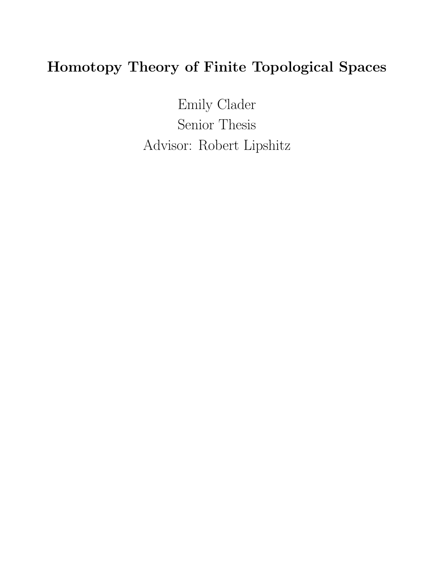# Homotopy Theory of Finite Topological Spaces

Emily Clader Senior Thesis Advisor: Robert Lipshitz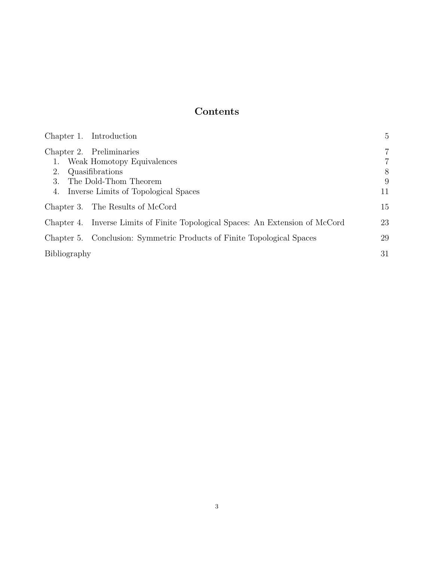## Contents

| Chapter 1. Introduction                                                        | 5              |
|--------------------------------------------------------------------------------|----------------|
| Chapter 2. Preliminaries                                                       | $\overline{7}$ |
| Weak Homotopy Equivalences                                                     | 7              |
| 2.<br>Quasifibrations                                                          | 8              |
| 3.<br>The Dold-Thom Theorem                                                    | 9              |
| Inverse Limits of Topological Spaces<br>4.                                     | 11             |
| Chapter 3. The Results of McCord                                               | 15             |
| Chapter 4. Inverse Limits of Finite Topological Spaces: An Extension of McCord | 23             |
| Chapter 5. Conclusion: Symmetric Products of Finite Topological Spaces         | 29             |
| Bibliography                                                                   | 31             |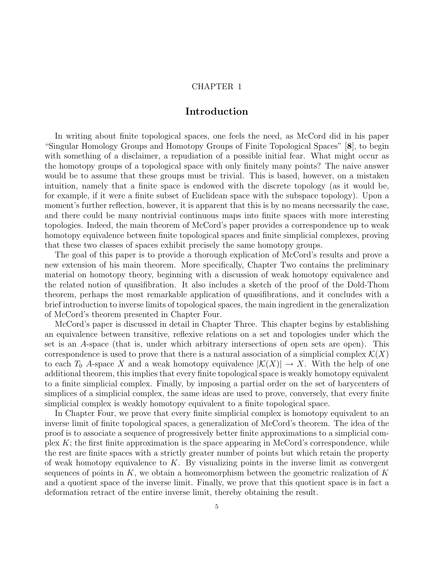## Introduction

In writing about finite topological spaces, one feels the need, as McCord did in his paper "Singular Homology Groups and Homotopy Groups of Finite Topological Spaces" [8], to begin with something of a disclaimer, a repudiation of a possible initial fear. What might occur as the homotopy groups of a topological space with only finitely many points? The naive answer would be to assume that these groups must be trivial. This is based, however, on a mistaken intuition, namely that a finite space is endowed with the discrete topology (as it would be, for example, if it were a finite subset of Euclidean space with the subspace topology). Upon a moment's further reflection, however, it is apparent that this is by no means necessarily the case, and there could be many nontrivial continuous maps into finite spaces with more interesting topologies. Indeed, the main theorem of McCord's paper provides a correspondence up to weak homotopy equivalence between finite topological spaces and finite simplicial complexes, proving that these two classes of spaces exhibit precisely the same homotopy groups.

The goal of this paper is to provide a thorough explication of McCord's results and prove a new extension of his main theorem. More specifically, Chapter Two contains the preliminary material on homotopy theory, beginning with a discussion of weak homotopy equivalence and the related notion of quasifibration. It also includes a sketch of the proof of the Dold-Thom theorem, perhaps the most remarkable application of quasifibrations, and it concludes with a brief introduction to inverse limits of topological spaces, the main ingredient in the generalization of McCord's theorem presented in Chapter Four.

McCord's paper is discussed in detail in Chapter Three. This chapter begins by establishing an equivalence between transitive, reflexive relations on a set and topologies under which the set is an A-space (that is, under which arbitrary intersections of open sets are open). This correspondence is used to prove that there is a natural association of a simplicial complex  $\mathcal{K}(X)$ to each  $T_0$  A-space X and a weak homotopy equivalence  $|\mathcal{K}(X)| \to X$ . With the help of one additional theorem, this implies that every finite topological space is weakly homotopy equivalent to a finite simplicial complex. Finally, by imposing a partial order on the set of barycenters of simplices of a simplicial complex, the same ideas are used to prove, conversely, that every finite simplicial complex is weakly homotopy equivalent to a finite topological space.

In Chapter Four, we prove that every finite simplicial complex is homotopy equivalent to an inverse limit of finite topological spaces, a generalization of McCord's theorem. The idea of the proof is to associate a sequence of progressively better finite approximations to a simplicial complex  $K$ ; the first finite approximation is the space appearing in McCord's correspondence, while the rest are finite spaces with a strictly greater number of points but which retain the property of weak homotopy equivalence to  $K$ . By visualizing points in the inverse limit as convergent sequences of points in  $K$ , we obtain a homeomorphism between the geometric realization of  $K$ and a quotient space of the inverse limit. Finally, we prove that this quotient space is in fact a deformation retract of the entire inverse limit, thereby obtaining the result.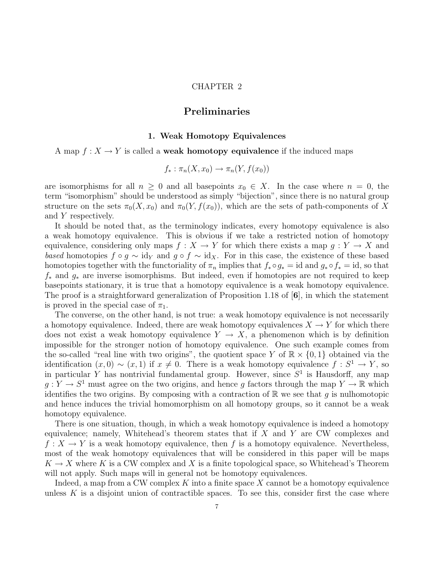## Preliminaries

#### 1. Weak Homotopy Equivalences

#### A map  $f: X \to Y$  is called a **weak homotopy equivalence** if the induced maps

$$
f_* : \pi_n(X, x_0) \to \pi_n(Y, f(x_0))
$$

are isomorphisms for all  $n \geq 0$  and all basepoints  $x_0 \in X$ . In the case where  $n = 0$ , the term "isomorphism" should be understood as simply "bijection", since there is no natural group structure on the sets  $\pi_0(X, x_0)$  and  $\pi_0(Y, f(x_0))$ , which are the sets of path-components of X and Y respectively.

It should be noted that, as the terminology indicates, every homotopy equivalence is also a weak homotopy equivalence. This is obvious if we take a restricted notion of homotopy equivalence, considering only maps  $f : X \to Y$  for which there exists a map  $g : Y \to X$  and based homotopies  $f \circ g \sim id_Y$  and  $g \circ f \sim id_X$ . For in this case, the existence of these based homotopies together with the functoriality of  $\pi_n$  implies that  $f_* \circ g_* = id$  and  $g_* \circ f_* = id$ , so that f<sup>∗</sup> and g<sup>∗</sup> are inverse isomorphisms. But indeed, even if homotopies are not required to keep basepoints stationary, it is true that a homotopy equivalence is a weak homotopy equivalence. The proof is a straightforward generalization of Proposition 1.18 of [6], in which the statement is proved in the special case of  $\pi_1$ .

The converse, on the other hand, is not true: a weak homotopy equivalence is not necessarily a homotopy equivalence. Indeed, there are weak homotopy equivalences  $X \to Y$  for which there does not exist a weak homotopy equivalence  $Y \to X$ , a phenomenon which is by definition impossible for the stronger notion of homotopy equivalence. One such example comes from the so-called "real line with two origins", the quotient space Y of  $\mathbb{R} \times \{0,1\}$  obtained via the identification  $(x, 0) \sim (x, 1)$  if  $x \neq 0$ . There is a weak homotopy equivalence  $f : S^1 \to Y$ , so in particular Y has nontrivial fundamental group. However, since  $S<sup>1</sup>$  is Hausdorff, any map  $g: Y \to S^1$  must agree on the two origins, and hence g factors through the map  $Y \to \mathbb{R}$  which identifies the two origins. By composing with a contraction of  $\mathbb{R}$  we see that g is nulhomotopic and hence induces the trivial homomorphism on all homotopy groups, so it cannot be a weak homotopy equivalence.

There is one situation, though, in which a weak homotopy equivalence is indeed a homotopy equivalence; namely, Whitehead's theorem states that if  $X$  and  $Y$  are CW complexes and  $f: X \to Y$  is a weak homotopy equivalence, then f is a homotopy equivalence. Nevertheless, most of the weak homotopy equivalences that will be considered in this paper will be maps  $K \to X$  where K is a CW complex and X is a finite topological space, so Whitehead's Theorem will not apply. Such maps will in general not be homotopy equivalences.

Indeed, a map from a CW complex  $K$  into a finite space  $X$  cannot be a homotopy equivalence unless  $K$  is a disjoint union of contractible spaces. To see this, consider first the case where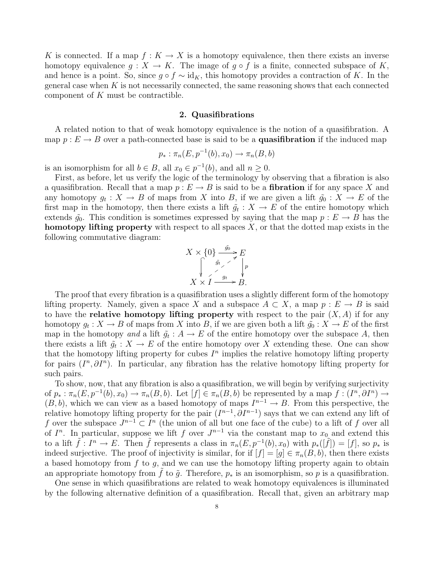K is connected. If a map  $f: K \to X$  is a homotopy equivalence, then there exists an inverse homotopy equivalence  $g: X \to K$ . The image of  $g \circ f$  is a finite, connected subspace of K, and hence is a point. So, since  $g \circ f \sim id_K$ , this homotopy provides a contraction of K. In the general case when  $K$  is not necessarily connected, the same reasoning shows that each connected component of K must be contractible.

#### 2. Quasifibrations

A related notion to that of weak homotopy equivalence is the notion of a quasifibration. A map  $p : E \to B$  over a path-connected base is said to be a **quasifibration** if the induced map

$$
p_* : \pi_n(E, p^{-1}(b), x_0) \to \pi_n(B, b)
$$

is an isomorphism for all  $b \in B$ , all  $x_0 \in p^{-1}(b)$ , and all  $n \ge 0$ .

First, as before, let us verify the logic of the terminology by observing that a fibration is also a quasifibration. Recall that a map  $p : E \to B$  is said to be a **fibration** if for any space X and any homotopy  $g_t: X \to B$  of maps from X into B, if we are given a lift  $\tilde{g}_0: X \to E$  of the first map in the homotopy, then there exists a lift  $\tilde{g}_t : X \to E$  of the entire homotopy which extends  $\tilde{g}_0$ . This condition is sometimes expressed by saying that the map  $p : E \to B$  has the **homotopy lifting property** with respect to all spaces  $X$ , or that the dotted map exists in the following commutative diagram:

$$
X \times \{0\} \xrightarrow{\tilde{g}_0} E
$$
  
\n
$$
\downarrow \searrow \searrow \searrow
$$
  
\n
$$
X \times I \xrightarrow{\tilde{g}_t} B.
$$

The proof that every fibration is a quasifibration uses a slightly different form of the homotopy lifting property. Namely, given a space X and a subspace  $A \subset X$ , a map  $p : E \to B$  is said to have the **relative homotopy lifting property** with respect to the pair  $(X, A)$  if for any homotopy  $g_t: X \to B$  of maps from X into B, if we are given both a lift  $\tilde{g}_0: X \to E$  of the first map in the homotopy and a lift  $\tilde{g}_t : A \to E$  of the entire homotopy over the subspace A, then there exists a lift  $\tilde{g}_t: X \to E$  of the entire homotopy over X extending these. One can show that the homotopy lifting property for cubes  $I<sup>n</sup>$  implies the relative homotopy lifting property for pairs  $(I^n, \partial I^n)$ . In particular, any fibration has the relative homotopy lifting property for such pairs.

To show, now, that any fibration is also a quasifibration, we will begin by verifying surjectivity of  $p_* : \pi_n(E, p^{-1}(b), x_0) \to \pi_n(B, b)$ . Let  $[f] \in \pi_n(B, b)$  be represented by a map  $f : (I^n, \partial I^n) \to$  $(B, b)$ , which we can view as a based homotopy of maps  $I^{n-1} \to B$ . From this perspective, the relative homotopy lifting property for the pair  $(I^{n-1}, \partial I^{n-1})$  says that we can extend any lift of f over the subspace  $J^{n-1} \subset I^n$  (the union of all but one face of the cube) to a lift of f over all of  $I^n$ . In particular, suppose we lift f over  $J^{n-1}$  via the constant map to  $x_0$  and extend this to a lift  $\tilde{f}: I^n \to E$ . Then  $\tilde{f}$  represents a class in  $\pi_n(E, p^{-1}(b), x_0)$  with  $p_*([\tilde{f}]) = [f]$ , so  $p_*$  is indeed surjective. The proof of injectivity is similar, for if  $[f] = [g] \in \pi_n(B, b)$ , then there exists a based homotopy from  $f$  to  $g$ , and we can use the homotopy lifting property again to obtain an appropriate homotopy from f to  $\tilde{q}$ . Therefore,  $p_*$  is an isomorphism, so p is a quasifibration.

One sense in which quasifibrations are related to weak homotopy equivalences is illuminated by the following alternative definition of a quasifibration. Recall that, given an arbitrary map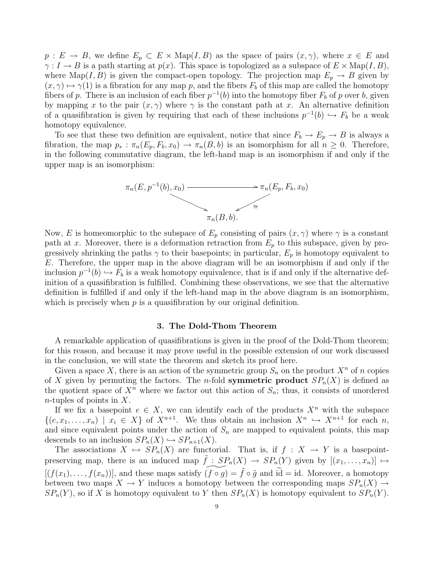$p: E \to B$ , we define  $E_p \subset E \times \text{Map}(I, B)$  as the space of pairs  $(x, \gamma)$ , where  $x \in E$  and  $\gamma: I \to B$  is a path starting at  $p(x)$ . This space is topologized as a subspace of  $E \times \text{Map}(I, B)$ , where Map(I, B) is given the compact-open topology. The projection map  $E_p \to B$  given by  $(x, \gamma) \mapsto \gamma(1)$  is a fibration for any map p, and the fibers  $F_b$  of this map are called the homotopy fibers of p. There is an inclusion of each fiber  $p^{-1}(b)$  into the homotopy fiber  $F_b$  of p over b, given by mapping x to the pair  $(x, \gamma)$  where  $\gamma$  is the constant path at x. An alternative definition of a quasifibration is given by requiring that each of these inclusions  $p^{-1}(b) \hookrightarrow F_b$  be a weak homotopy equivalence.

To see that these two definition are equivalent, notice that since  $F_b \to E_p \to B$  is always a fibration, the map  $p_* : \pi_n(E_p, F_b, x_0) \to \pi_n(B, b)$  is an isomorphism for all  $n \geq 0$ . Therefore, in the following commutative diagram, the left-hand map is an isomorphism if and only if the upper map is an isomorphism:



Now, E is homeomorphic to the subspace of  $E_p$  consisting of pairs  $(x, \gamma)$  where  $\gamma$  is a constant path at x. Moreover, there is a deformation retraction from  $E_p$  to this subspace, given by progressively shrinking the paths  $\gamma$  to their basepoints; in particular,  $E_p$  is homotopy equivalent to E. Therefore, the upper map in the above diagram will be an isomorphism if and only if the inclusion  $p^{-1}(b) \hookrightarrow F_b$  is a weak homotopy equivalence, that is if and only if the alternative definition of a quasifibration is fulfilled. Combining these observations, we see that the alternative definition is fulfilled if and only if the left-hand map in the above diagram is an isomorphism, which is precisely when  $p$  is a quasifibration by our original definition.

#### 3. The Dold-Thom Theorem

A remarkable application of quasifibrations is given in the proof of the Dold-Thom theorem; for this reason, and because it may prove useful in the possible extension of our work discussed in the conclusion, we will state the theorem and sketch its proof here.

Given a space X, there is an action of the symmetric group  $S_n$  on the product  $X^n$  of n copies of X given by permuting the factors. The *n*-fold **symmetric product**  $SP_n(X)$  is defined as the quotient space of  $X^n$  where we factor out this action of  $S_n$ ; thus, it consists of unordered *n*-tuples of points in  $X$ .

If we fix a basepoint  $e \in X$ , we can identify each of the products  $X^n$  with the subspace  $\{(e, x_1, \ldots, x_n) \mid x_i \in X\}$  of  $X^{n+1}$ . We thus obtain an inclusion  $X^n \hookrightarrow X^{n+1}$  for each n, and since equivalent points under the action of  $S_n$  are mapped to equivalent points, this map descends to an inclusion  $SP_n(X) \hookrightarrow SP_{n+1}(X)$ .

The associations  $X \mapsto SP_n(X)$  are functorial. That is, if  $f : X \to Y$  is a basepointpreserving map, there is an induced map  $\tilde{f}: SP_n(X) \to SP_n(Y)$  given by  $[(x_1, \ldots, x_n)] \mapsto$  $[(f(x_1), \ldots, f(x_n))]$ , and these maps satisfy  $(f \circ q) = \tilde{f} \circ \tilde{q}$  and  $i\tilde{d} = id$ . Moreover, a homotopy between two maps  $X \to Y$  induces a homotopy between the corresponding maps  $SP_n(X) \to$  $SP_n(Y)$ , so if X is homotopy equivalent to Y then  $SP_n(X)$  is homotopy equivalent to  $SP_n(Y)$ .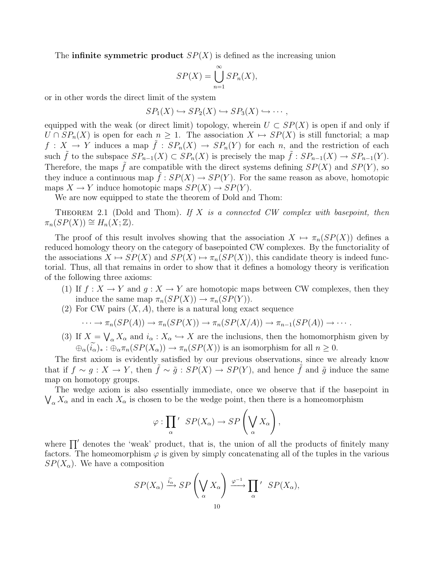The **infinite symmetric product**  $SP(X)$  is defined as the increasing union

$$
SP(X) = \bigcup_{n=1}^{\infty} SP_n(X),
$$

or in other words the direct limit of the system

$$
SP_1(X) \hookrightarrow SP_2(X) \hookrightarrow SP_3(X) \hookrightarrow \cdots,
$$

equipped with the weak (or direct limit) topology, wherein  $U \subset SP(X)$  is open if and only if  $U \cap SP_n(X)$  is open for each  $n \geq 1$ . The association  $X \mapsto SP(X)$  is still functorial; a map  $f: X \to Y$  induces a map  $\tilde{f}: SP_n(X) \to SP_n(Y)$  for each n, and the restriction of each such  $\tilde{f}$  to the subspace  $SP_{n-1}(X) \subset SP_n(X)$  is precisely the map  $\tilde{f}: SP_{n-1}(X) \to SP_{n-1}(Y)$ . Therefore, the maps  $\tilde{f}$  are compatible with the direct systems defining  $SP(X)$  and  $SP(Y)$ , so they induce a continuous map  $\tilde{f}: SP(X) \to SP(Y)$ . For the same reason as above, homotopic maps  $X \to Y$  induce homotopic maps  $SP(X) \to SP(Y)$ .

We are now equipped to state the theorem of Dold and Thom:

THEOREM 2.1 (Dold and Thom). If X is a connected CW complex with basepoint, then  $\pi_n(SP(X)) \cong H_n(X;\mathbb{Z}).$ 

The proof of this result involves showing that the association  $X \mapsto \pi_n(SP(X))$  defines a reduced homology theory on the category of basepointed CW complexes. By the functoriality of the associations  $X \mapsto SP(X)$  and  $SP(X) \mapsto \pi_n(SP(X))$ , this candidate theory is indeed functorial. Thus, all that remains in order to show that it defines a homology theory is verification of the following three axioms:

- (1) If  $f: X \to Y$  and  $g: X \to Y$  are homotopic maps between CW complexes, then they induce the same map  $\pi_n(SP(X)) \to \pi_n(SP(Y))$ .
- (2) For CW pairs  $(X, A)$ , there is a natural long exact sequence

$$
\cdots \to \pi_n(SP(A)) \to \pi_n(SP(X)) \to \pi_n(SP(X/A)) \to \pi_{n-1}(SP(A)) \to \cdots
$$

(3) If  $X = \bigvee_{\alpha} X_{\alpha}$  and  $i_{\alpha} : X_{\alpha} \hookrightarrow X$  are the inclusions, then the homomorphism given by  $\bigoplus_{\alpha} (\widetilde{i}_{\alpha})_* : \bigoplus_{\alpha} \pi_n(SP(X_{\alpha})) \to \pi_n(SP(X))$  is an isomorphism for all  $n \geq 0$ .

The first axiom is evidently satisfied by our previous observations, since we already know that if  $f \sim g : X \to Y$ , then  $\tilde{f} \sim \tilde{g} : SP(X) \to SP(Y)$ , and hence  $\tilde{f}$  and  $\tilde{g}$  induce the same map on homotopy groups.

The wedge axiom is also essentially immediate, once we observe that if the basepoint in  $\bigvee_{\alpha} X_{\alpha}$  and in each  $X_{\alpha}$  is chosen to be the wedge point, then there is a homeomorphism

$$
\varphi:\prod_{\alpha}{}' \; SP(X_{\alpha}) \to SP\left(\bigvee_{\alpha} X_{\alpha}\right),
$$

where  $\prod'$  denotes the 'weak' product, that is, the union of all the products of finitely many factors. The homeomorphism  $\varphi$  is given by simply concatenating all of the tuples in the various  $SP(X_{\alpha})$ . We have a composition

$$
SP(X_{\alpha}) \xrightarrow{\tilde{i}_{\alpha}} SP\left(\bigvee_{\alpha} X_{\alpha}\right) \xrightarrow{\varphi^{-1}} \prod_{\alpha} ' SP(X_{\alpha}),
$$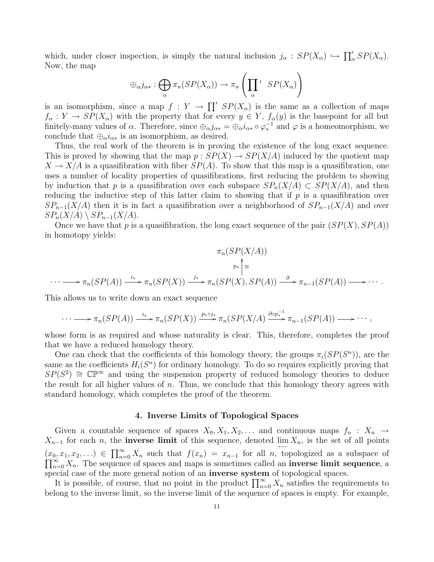which, under closer inspection, is simply the natural inclusion  $j_{\alpha}: SP(X_{\alpha}) \hookrightarrow \prod_{\alpha}' SP(X_{\alpha})$ . Now, the map

$$
\oplus_{\alpha} j_{\alpha*} : \bigoplus_{\alpha} \pi_n(SP(X_{\alpha})) \to \pi_n\left(\prod_{\alpha}^{\prime} S P(X_{\alpha})\right)
$$

is an isomorphism, since a map  $f: Y \to \prod' SP(X_\alpha)$  is the same as a collection of maps  $f_{\alpha}: Y \to SP(X_{\alpha})$  with the property that for every  $y \in Y$ ,  $f_{\alpha}(y)$  is the basepoint for all but finitely-many values of  $\alpha$ . Therefore, since  $\bigoplus_{\alpha} j_{\alpha*} = \bigoplus_{\alpha} i_{\alpha*} \circ \varphi_*^{-1}$  and  $\varphi$  is a homeomorphism, we conclude that  $\oplus_\alpha i_{\alpha*}$  is an isomorphism, as desired.

Thus, the real work of the theorem is in proving the existence of the long exact sequence. This is proved by showing that the map  $p : SP(X) \to SP(X/A)$  induced by the quotient map  $X \to X/A$  is a quasifibration with fiber  $SP(A)$ . To show that this map is a quasifibration, one uses a number of locality properties of quasifibrations, first reducing the problem to showing by induction that p is a quasifibration over each subspace  $SP_n(X/A) \subset SP(X/A)$ , and then reducing the inductive step of this latter claim to showing that if  $p$  is a quasifibration over  $SP_{n-1}(X/A)$  then it is in fact a quasifibration over a neighborhood of  $SP_{n-1}(X/A)$  and over  $SP_n(X/A) \setminus SP_{n-1}(X/A).$ 

Once we have that p is a quasifibration, the long exact sequence of the pair  $(SP(X), SP(A))$ in homotopy yields:

$$
\pi_n(SP(X/A))
$$
  
\n
$$
\pi_n(SP(X/A))
$$
  
\n
$$
\pi_n(SP(A)) \xrightarrow{i_*} \pi_n(SP(X)) \xrightarrow{j_*} \pi_n(SP(X), SP(A)) \xrightarrow{\partial} \pi_{n-1}(SP(A)) \longrightarrow \cdots
$$

This allows us to write down an exact sequence

$$
\cdots \longrightarrow \pi_n(SP(A)) \xrightarrow{i_*} \pi_n(SP(X)) \xrightarrow{p_* \circ j_*} \pi_n(SP(X/A) \xrightarrow{\partial \circ p_*^{-1}} \pi_{n-1}(SP(A)) \longrightarrow \cdots,
$$

whose form is as required and whose naturality is clear. This, therefore, completes the proof that we have a reduced homology theory.

One can check that the coefficients of this homology theory, the groups  $\pi_i(SP(S^n))$ , are the same as the coefficients  $H_i(S^n)$  for ordinary homology. To do so requires explicitly proving that  $SP(S^2) \cong \mathbb{CP}^{\infty}$  and using the suspension property of reduced homology theories to deduce the result for all higher values of  $n$ . Thus, we conclude that this homology theory agrees with standard homology, which completes the proof of the theorem.

#### 4. Inverse Limits of Topological Spaces

Given a countable sequence of spaces  $X_0, X_1, X_2, \ldots$  and continuous maps  $f_n : X_n \to$  $X_{n-1}$  for each n, the **inverse limit** of this sequence, denoted  $\lim_{n \to \infty} X_n$ , is the set of all points  $(x_0, x_1, x_2, ...) \in \prod_{n=0}^{\infty} X_n$  such that  $f(x_n) = x_{n-1}$  for all *n*, topologized as a subspace of  $\prod_{n=0}^{\infty} X_n$ . The sequence of spaces and maps is sometimes called an **inverse limit sequence**, a  $\sum_{n=0}^{\infty} X_n$ . The sequence of spaces and maps is sometimes called an **inverse limit sequence**, a special case of the more general notion of an inverse system of topological spaces.

It is possible, of course, that no point in the product  $\prod_{n=0}^{\infty} X_n$  satisfies the requirements to belong to the inverse limit, so the inverse limit of the sequence of spaces is empty. For example,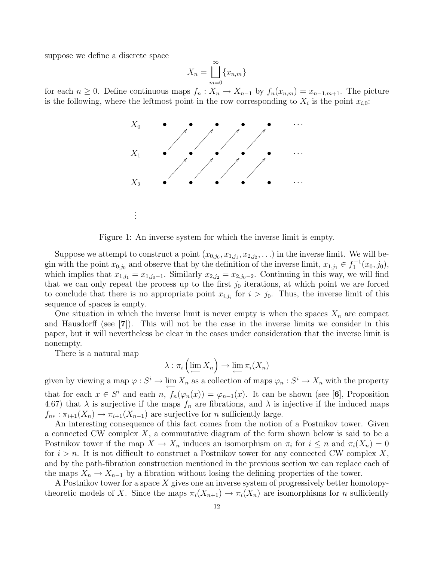suppose we define a discrete space

$$
X_n = \bigsqcup_{m=0}^{\infty} \{x_{n,m}\}
$$

for each  $n \geq 0$ . Define continuous maps  $f_n: X_n \to X_{n-1}$  by  $f_n(x_{n,m}) = x_{n-1,m+1}$ . The picture is the following, where the leftmost point in the row corresponding to  $X_i$  is the point  $x_{i,0}$ :



Figure 1: An inverse system for which the inverse limit is empty.

Suppose we attempt to construct a point  $(x_{0,j_0}, x_{1,j_1}, x_{2,j_2}, \ldots)$  in the inverse limit. We will begin with the point  $x_{0,j_0}$  and observe that by the definition of the inverse limit,  $x_{1,j_1} \in f_1^{-1}(x_0, j_0)$ , which implies that  $x_{1,j_1} = x_{1,j_0-1}$ . Similarly  $x_{2,j_2} = x_{2,j_0-2}$ . Continuing in this way, we will find that we can only repeat the process up to the first  $j_0$  iterations, at which point we are forced to conclude that there is no appropriate point  $x_{i,j_i}$  for  $i > j_0$ . Thus, the inverse limit of this sequence of spaces is empty.

One situation in which the inverse limit is never empty is when the spaces  $X_n$  are compact and Hausdorff (see [7]). This will not be the case in the inverse limits we consider in this paper, but it will nevertheless be clear in the cases under consideration that the inverse limit is nonempty.

There is a natural map

$$
\lambda : \pi_i \left( \lim_{n \to \infty} X_n \right) \to \lim_{n \to \infty} \pi_i(X_n)
$$

given by viewing a map  $\varphi: S^i \to \lim_{\longleftarrow} X_n$  as a collection of maps  $\varphi_n: S^i \to X_n$  with the property that for each  $x \in S^i$  and each  $n$ ,  $f_n(\varphi_n(x)) = \varphi_{n-1}(x)$ . It can be shown (see [6], Proposition 4.67) that  $\lambda$  is surjective if the maps  $f_n$  are fibrations, and  $\lambda$  is injective if the induced maps  $f_{n*}: \pi_{i+1}(X_n) \to \pi_{i+1}(X_{n-1})$  are surjective for n sufficiently large.

An interesting consequence of this fact comes from the notion of a Postnikov tower. Given a connected CW complex  $X$ , a commutative diagram of the form shown below is said to be a Postnikov tower if the map  $X \to X_n$  induces an isomorphism on  $\pi_i$  for  $i \leq n$  and  $\pi_i(X_n) = 0$ for  $i > n$ . It is not difficult to construct a Postnikov tower for any connected CW complex X, and by the path-fibration construction mentioned in the previous section we can replace each of the maps  $X_n \to X_{n-1}$  by a fibration without losing the defining properties of the tower.

A Postnikov tower for a space X gives one an inverse system of progressively better homotopytheoretic models of X. Since the maps  $\pi_i(X_{n+1}) \to \pi_i(X_n)$  are isomorphisms for n sufficiently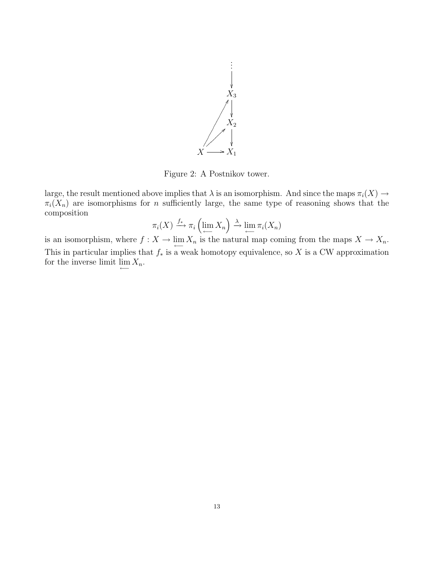

Figure 2: A Postnikov tower.

large, the result mentioned above implies that  $\lambda$  is an isomorphism. And since the maps  $\pi_i(X) \to$  $\pi_i(X_n)$  are isomorphisms for n sufficiently large, the same type of reasoning shows that the composition

$$
\pi_i(X) \xrightarrow{f_*} \pi_i\left(\lim_{\longleftarrow} X_n\right) \xrightarrow{\lambda} \lim_{\longleftarrow} \pi_i(X_n)
$$

is an isomorphism, where  $f: X \to \lim_{\longleftarrow} X_n$  is the natural map coming from the maps  $X \to X_n$ . This in particular implies that  $f_*$  is a weak homotopy equivalence, so X is a CW approximation for the inverse limit  $\lim_{n \to \infty} X_n$ .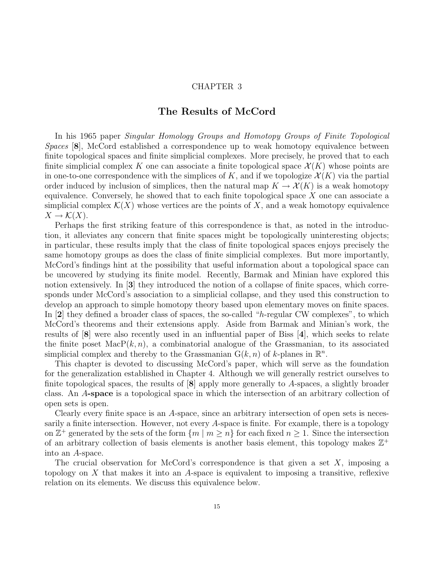## The Results of McCord

In his 1965 paper Singular Homology Groups and Homotopy Groups of Finite Topological Spaces [8], McCord established a correspondence up to weak homotopy equivalence between finite topological spaces and finite simplicial complexes. More precisely, he proved that to each finite simplicial complex K one can associate a finite topological space  $\mathcal{X}(K)$  whose points are in one-to-one correspondence with the simplices of K, and if we topologize  $\mathcal{X}(K)$  via the partial order induced by inclusion of simplices, then the natural map  $K \to \mathcal{X}(K)$  is a weak homotopy equivalence. Conversely, he showed that to each finite topological space  $X$  one can associate a simplicial complex  $\mathcal{K}(X)$  whose vertices are the points of X, and a weak homotopy equivalence  $X \to \mathcal{K}(X)$ .

Perhaps the first striking feature of this correspondence is that, as noted in the introduction, it alleviates any concern that finite spaces might be topologically uninteresting objects; in particular, these results imply that the class of finite topological spaces enjoys precisely the same homotopy groups as does the class of finite simplicial complexes. But more importantly, McCord's findings hint at the possibility that useful information about a topological space can be uncovered by studying its finite model. Recently, Barmak and Minian have explored this notion extensively. In [3] they introduced the notion of a collapse of finite spaces, which corresponds under McCord's association to a simplicial collapse, and they used this construction to develop an approach to simple homotopy theory based upon elementary moves on finite spaces. In [2] they defined a broader class of spaces, the so-called "h-regular CW complexes", to which McCord's theorems and their extensions apply. Aside from Barmak and Minian's work, the results of [8] were also recently used in an influential paper of Biss [4], which seeks to relate the finite poset  $\text{MacP}(k, n)$ , a combinatorial analogue of the Grassmanian, to its associated simplicial complex and thereby to the Grassmanian  $G(k, n)$  of k-planes in  $\mathbb{R}^n$ .

This chapter is devoted to discussing McCord's paper, which will serve as the foundation for the generalization established in Chapter 4. Although we will generally restrict ourselves to finite topological spaces, the results of  $[8]$  apply more generally to A-spaces, a slightly broader class. An A-space is a topological space in which the intersection of an arbitrary collection of open sets is open.

Clearly every finite space is an A-space, since an arbitrary intersection of open sets is necessarily a finite intersection. However, not every  $A$ -space is finite. For example, there is a topology on  $\mathbb{Z}^+$  generated by the sets of the form  $\{m \mid m \geq n\}$  for each fixed  $n \geq 1$ . Since the intersection of an arbitrary collection of basis elements is another basis element, this topology makes  $\mathbb{Z}^+$ into an A-space.

The crucial observation for McCord's correspondence is that given a set  $X$ , imposing a topology on X that makes it into an A-space is equivalent to imposing a transitive, reflexive relation on its elements. We discuss this equivalence below.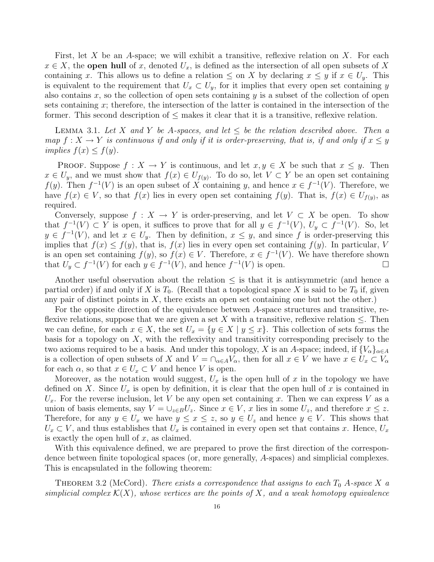First, let X be an A-space; we will exhibit a transitive, reflexive relation on X. For each  $x \in X$ , the **open hull** of x, denoted  $U_x$ , is defined as the intersection of all open subsets of X containing x. This allows us to define a relation  $\leq$  on X by declaring  $x \leq y$  if  $x \in U_y$ . This is equivalent to the requirement that  $U_x \subset U_y$ , for it implies that every open set containing y also contains x, so the collection of open sets containing y is a subset of the collection of open sets containing x; therefore, the intersection of the latter is contained in the intersection of the former. This second description of  $\leq$  makes it clear that it is a transitive, reflexive relation.

LEMMA 3.1. Let X and Y be A-spaces, and let  $\leq$  be the relation described above. Then a map  $f: X \to Y$  is continuous if and only if it is order-preserving, that is, if and only if  $x \le y$ implies  $f(x) \leq f(y)$ .

**PROOF.** Suppose  $f: X \to Y$  is continuous, and let  $x, y \in X$  be such that  $x \leq y$ . Then  $x \in U_y$ , and we must show that  $f(x) \in U_{f(y)}$ . To do so, let  $V \subset Y$  be an open set containing  $f(y)$ . Then  $f^{-1}(V)$  is an open subset of X containing y, and hence  $x \in f^{-1}(V)$ . Therefore, we have  $f(x) \in V$ , so that  $f(x)$  lies in every open set containing  $f(y)$ . That is,  $f(x) \in U_{f(y)}$ , as required.

Conversely, suppose  $f: X \to Y$  is order-preserving, and let  $V \subset X$  be open. To show that  $f^{-1}(V) \subset Y$  is open, it suffices to prove that for all  $y \in f^{-1}(V)$ ,  $U_y \subset f^{-1}(V)$ . So, let  $y \in f^{-1}(V)$ , and let  $x \in U_y$ . Then by definition,  $x \leq y$ , and since f is order-preserving this implies that  $f(x) \leq f(y)$ , that is,  $f(x)$  lies in every open set containing  $f(y)$ . In particular, V is an open set containing  $f(y)$ , so  $f(x) \in V$ . Therefore,  $x \in f^{-1}(V)$ . We have therefore shown that  $U_y \subset f^{-1}(V)$  for each  $y \in f^{-1}(V)$ , and hence  $f^{-1}(V)$  is open.

Another useful observation about the relation  $\leq$  is that it is antisymmetric (and hence a partial order) if and only if X is  $T_0$ . (Recall that a topological space X is said to be  $T_0$  if, given any pair of distinct points in  $X$ , there exists an open set containing one but not the other.)

For the opposite direction of the equivalence between A-space structures and transitive, reflexive relations, suppose that we are given a set X with a transitive, reflexive relation  $\leq$ . Then we can define, for each  $x \in X$ , the set  $U_x = \{y \in X \mid y \leq x\}$ . This collection of sets forms the basis for a topology on  $X$ , with the reflexivity and transitivity corresponding precisely to the two axioms required to be a basis. And under this topology, X is an A-space; indeed, if  $\{V_{\alpha}\}_{{\alpha}\in A}$ is a collection of open subsets of X and  $V = \bigcap_{\alpha \in A} V_\alpha$ , then for all  $x \in V$  we have  $x \in U_x \subset V_\alpha$ for each  $\alpha$ , so that  $x \in U_x \subset V$  and hence V is open.

Moreover, as the notation would suggest,  $U_x$  is the open hull of x in the topology we have defined on X. Since  $U_x$  is open by definition, it is clear that the open hull of x is contained in  $U_x$ . For the reverse inclusion, let V be any open set containing x. Then we can express V as a union of basis elements, say  $V = \bigcup_{z \in B} U_z$ . Since  $x \in V$ , x lies in some  $U_z$ , and therefore  $x \leq z$ . Therefore, for any  $y \in U_x$  we have  $y \leq x \leq z$ , so  $y \in U_z$  and hence  $y \in V$ . This shows that  $U_x \subset V$ , and thus establishes that  $U_x$  is contained in every open set that contains x. Hence,  $U_x$ is exactly the open hull of  $x$ , as claimed.

With this equivalence defined, we are prepared to prove the first direction of the correspondence between finite topological spaces (or, more generally, A-spaces) and simplicial complexes. This is encapsulated in the following theorem:

THEOREM 3.2 (McCord). There exists a correspondence that assigns to each  $T_0$  A-space X a simplicial complex  $\mathcal{K}(X)$ , whose vertices are the points of X, and a weak homotopy equivalence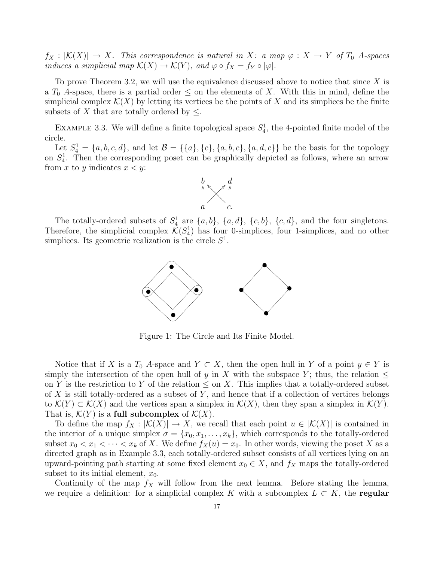$f_X : |\mathcal{K}(X)| \to X$ . This correspondence is natural in X: a map  $\varphi : X \to Y$  of  $T_0$  A-spaces induces a simplicial map  $\mathcal{K}(X) \to \mathcal{K}(Y)$ , and  $\varphi \circ f_X = f_Y \circ |\varphi|$ .

To prove Theorem 3.2, we will use the equivalence discussed above to notice that since  $X$  is a  $T_0$  A-space, there is a partial order  $\leq$  on the elements of X. With this in mind, define the simplicial complex  $\mathcal{K}(X)$  by letting its vertices be the points of X and its simplices be the finite subsets of X that are totally ordered by  $\leq$ .

EXAMPLE 3.3. We will define a finite topological space  $S_4^1$ , the 4-pointed finite model of the circle.

Let  $S_4^1 = \{a, b, c, d\}$ , and let  $\mathcal{B} = \{\{a\}, \{c\}, \{a, b, c\}, \{a, d, c\}\}\$  be the basis for the topology on  $S_4^1$ . Then the corresponding poset can be graphically depicted as follows, where an arrow from x to y indicates  $x < y$ :



The totally-ordered subsets of  $S_4^1$  are  $\{a, b\}$ ,  $\{a, d\}$ ,  $\{c, b\}$ ,  $\{c, d\}$ , and the four singletons. Therefore, the simplicial complex  $\mathcal{K}(S_4^1)$  has four 0-simplices, four 1-simplices, and no other simplices. Its geometric realization is the circle  $S<sup>1</sup>$ .



Figure 1: The Circle and Its Finite Model.

Notice that if X is a  $T_0$  A-space and  $Y \subset X$ , then the open hull in Y of a point  $y \in Y$  is simply the intersection of the open hull of y in X with the subspace Y; thus, the relation  $\leq$ on Y is the restriction to Y of the relation  $\leq$  on X. This implies that a totally-ordered subset of  $X$  is still totally-ordered as a subset of  $Y$ , and hence that if a collection of vertices belongs to  $\mathcal{K}(Y) \subset \mathcal{K}(X)$  and the vertices span a simplex in  $\mathcal{K}(X)$ , then they span a simplex in  $\mathcal{K}(Y)$ . That is,  $\mathcal{K}(Y)$  is a full subcomplex of  $\mathcal{K}(X)$ .

To define the map  $f_X : |\mathcal{K}(X)| \to X$ , we recall that each point  $u \in |\mathcal{K}(X)|$  is contained in the interior of a unique simplex  $\sigma = \{x_0, x_1, \ldots, x_k\}$ , which corresponds to the totally-ordered subset  $x_0 < x_1 < \cdots < x_k$  of X. We define  $f_X(u) = x_0$ . In other words, viewing the poset X as a directed graph as in Example 3.3, each totally-ordered subset consists of all vertices lying on an upward-pointing path starting at some fixed element  $x_0 \in X$ , and  $f_X$  maps the totally-ordered subset to its initial element,  $x_0$ .

Continuity of the map  $f_X$  will follow from the next lemma. Before stating the lemma, we require a definition: for a simplicial complex K with a subcomplex  $L \subset K$ , the regular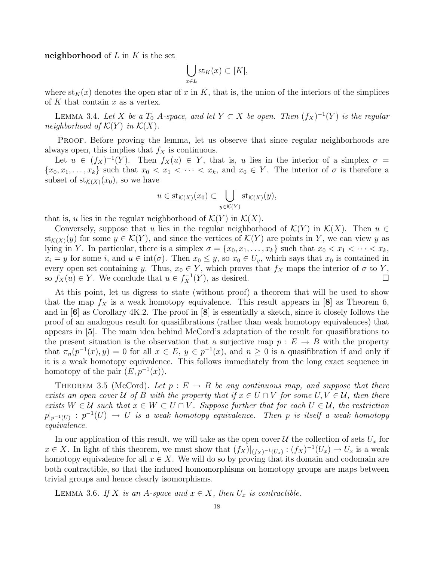neighborhood of  $L$  in  $K$  is the set

$$
\bigcup_{x \in L} \operatorname{st}_K(x) \subset |K|,
$$

where  $\text{st}_K(x)$  denotes the open star of x in K, that is, the union of the interiors of the simplices of  $K$  that contain  $x$  as a vertex.

LEMMA 3.4. Let X be a  $T_0$  A-space, and let  $Y \subset X$  be open. Then  $(f_X)^{-1}(Y)$  is the regular neighborhood of  $\mathcal{K}(Y)$  in  $\mathcal{K}(X)$ .

PROOF. Before proving the lemma, let us observe that since regular neighborhoods are always open, this implies that  $f_X$  is continuous.

Let  $u \in (f_X)^{-1}(Y)$ . Then  $f_X(u) \in Y$ , that is, u lies in the interior of a simplex  $\sigma =$  $\{x_0, x_1, \ldots, x_k\}$  such that  $x_0 < x_1 < \cdots < x_k$ , and  $x_0 \in Y$ . The interior of  $\sigma$  is therefore a subset of  $\text{st}_{\mathcal{K}(X)}(x_0)$ , so we have

$$
u \in \mathrm{st}_{\mathcal{K}(X)}(x_0) \subset \bigcup_{y \in \mathcal{K}(Y)} \mathrm{st}_{\mathcal{K}(X)}(y),
$$

that is, u lies in the regular neighborhood of  $\mathcal{K}(Y)$  in  $\mathcal{K}(X)$ .

Conversely, suppose that u lies in the regular neighborhood of  $\mathcal{K}(Y)$  in  $\mathcal{K}(X)$ . Then  $u \in$  $\text{st}_{\mathcal{K}(X)}(y)$  for some  $y \in \mathcal{K}(Y)$ , and since the vertices of  $\mathcal{K}(Y)$  are points in Y, we can view y as lying in Y. In particular, there is a simplex  $\sigma = \{x_0, x_1, \ldots, x_k\}$  such that  $x_0 < x_1 < \cdots < x_k$ ,  $x_i = y$  for some i, and  $u \in \text{int}(\sigma)$ . Then  $x_0 \leq y$ , so  $x_0 \in U_y$ , which says that  $x_0$  is contained in every open set containing y. Thus,  $x_0 \in Y$ , which proves that  $f_X$  maps the interior of  $\sigma$  to Y, so  $f_X(u) \in Y$ . We conclude that  $u \in f_X^{-1}(Y)$ , as desired.

At this point, let us digress to state (without proof) a theorem that will be used to show that the map  $f_X$  is a weak homotopy equivalence. This result appears in [8] as Theorem 6, and in [6] as Corollary 4K.2. The proof in [8] is essentially a sketch, since it closely follows the proof of an analogous result for quasifibrations (rather than weak homotopy equivalences) that appears in [5]. The main idea behind McCord's adaptation of the result for quasifibrations to the present situation is the observation that a surjective map  $p : E \to B$  with the property that  $\pi_n(p^{-1}(x), y) = 0$  for all  $x \in E$ ,  $y \in p^{-1}(x)$ , and  $n \ge 0$  is a quasifibration if and only if it is a weak homotopy equivalence. This follows immediately from the long exact sequence in homotopy of the pair  $(E, p^{-1}(x))$ .

THEOREM 3.5 (McCord). Let  $p : E \to B$  be any continuous map, and suppose that there exists an open cover U of B with the property that if  $x \in U \cap V$  for some  $U, V \in U$ , then there exists  $W \in \mathcal{U}$  such that  $x \in W \subset U \cap V$ . Suppose further that for each  $U \in \mathcal{U}$ , the restriction  $p|_{p^{-1}(U)}: p^{-1}(U) \to U$  is a weak homotopy equivalence. Then p is itself a weak homotopy equivalence.

In our application of this result, we will take as the open cover  $\mathcal U$  the collection of sets  $U_x$  for  $x \in X$ . In light of this theorem, we must show that  $(f_X)|_{(f_X)^{-1}(U_x)} : (f_X)^{-1}(U_x) \to U_x$  is a weak homotopy equivalence for all  $x \in X$ . We will do so by proving that its domain and codomain are both contractible, so that the induced homomorphisms on homotopy groups are maps between trivial groups and hence clearly isomorphisms.

LEMMA 3.6. If X is an A-space and  $x \in X$ , then  $U_x$  is contractible.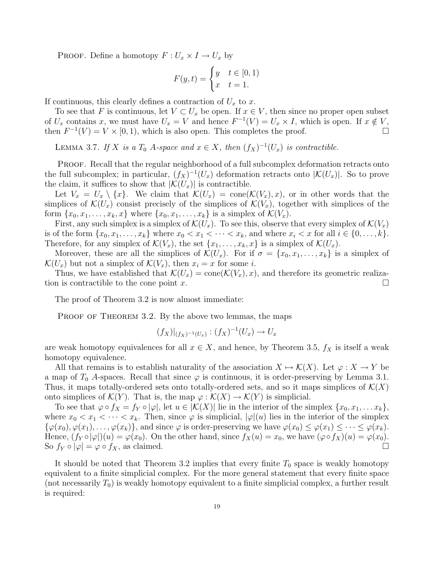PROOF. Define a homotopy  $F: U_x \times I \to U_x$  by

$$
F(y,t) = \begin{cases} y & t \in [0,1) \\ x & t = 1. \end{cases}
$$

If continuous, this clearly defines a contraction of  $U_x$  to x.

To see that F is continuous, let  $V \subset U_x$  be open. If  $x \in V$ , then since no proper open subset of  $U_x$  contains x, we must have  $U_x = V$  and hence  $F^{-1}(V) = U_x \times I$ , which is open. If  $x \notin V$ , then  $F^{-1}(V) = V \times [0, 1)$ , which is also open. This completes the proof.

LEMMA 3.7. If X is a  $T_0$  A-space and  $x \in X$ , then  $(f_X)^{-1}(U_x)$  is contractible.

PROOF. Recall that the regular neighborhood of a full subcomplex deformation retracts onto the full subcomplex; in particular,  $(f_X)^{-1}(U_x)$  deformation retracts onto  $|\mathcal{K}(U_x)|$ . So to prove the claim, it suffices to show that  $|\mathcal{K}(U_x)|$  is contractible.

Let  $V_x = U_x \setminus \{x\}$ . We claim that  $\mathcal{K}(U_x) = \text{cone}(\mathcal{K}(V_x), x)$ , or in other words that the simplices of  $\mathcal{K}(U_x)$  consist precisely of the simplices of  $\mathcal{K}(V_x)$ , together with simplices of the form  $\{x_0, x_1, \ldots, x_k, x\}$  where  $\{x_0, x_1, \ldots, x_k\}$  is a simplex of  $\mathcal{K}(V_x)$ .

First, any such simplex is a simplex of  $\mathcal{K}(U_x)$ . To see this, observe that every simplex of  $\mathcal{K}(V_x)$ is of the form  $\{x_0, x_1, \ldots, x_k\}$  where  $x_0 < x_1 < \cdots < x_k$ , and where  $x_i < x$  for all  $i \in \{0, \ldots, k\}$ . Therefore, for any simplex of  $\mathcal{K}(V_x)$ , the set  $\{x_1, \ldots, x_k, x\}$  is a simplex of  $\mathcal{K}(U_x)$ .

Moreover, these are all the simplices of  $\mathcal{K}(U_x)$ . For if  $\sigma = \{x_0, x_1, \ldots, x_k\}$  is a simplex of  $\mathcal{K}(U_x)$  but not a simplex of  $\mathcal{K}(V_x)$ , then  $x_i = x$  for some i.

Thus, we have established that  $\mathcal{K}(U_x) = \text{cone}(\mathcal{K}(V_x), x)$ , and therefore its geometric realization is contractible to the cone point x.

The proof of Theorem 3.2 is now almost immediate:

PROOF OF THEOREM 3.2. By the above two lemmas, the maps

$$
(f_X)|_{(f_X)^{-1}(U_x)} : (f_X)^{-1}(U_x) \to U_x
$$

are weak homotopy equivalences for all  $x \in X$ , and hence, by Theorem 3.5,  $f_X$  is itself a weak homotopy equivalence.

All that remains is to establish naturality of the association  $X \mapsto \mathcal{K}(X)$ . Let  $\varphi : X \to Y$  be a map of  $T_0$  A-spaces. Recall that since  $\varphi$  is continuous, it is order-preserving by Lemma 3.1. Thus, it maps totally-ordered sets onto totally-ordered sets, and so it maps simplices of  $\mathcal{K}(X)$ onto simplices of  $\mathcal{K}(Y)$ . That is, the map  $\varphi : \mathcal{K}(X) \to \mathcal{K}(Y)$  is simplicial.

To see that  $\varphi \circ f_X = f_Y \circ |\varphi|$ , let  $u \in |\mathcal{K}(X)|$  lie in the interior of the simplex  $\{x_0, x_1, \ldots x_k\},$ where  $x_0 < x_1 < \cdots < x_k$ . Then, since  $\varphi$  is simplicial,  $|\varphi|(u)$  lies in the interior of the simplex  $\{\varphi(x_0), \varphi(x_1), \ldots, \varphi(x_k)\}\)$ , and since  $\varphi$  is order-preserving we have  $\varphi(x_0) \leq \varphi(x_1) \leq \cdots \leq \varphi(x_k)$ . Hence,  $(f_Y \circ |\varphi|)(u) = \varphi(x_0)$ . On the other hand, since  $f_X(u) = x_0$ , we have  $(\varphi \circ f_X)(u) = \varphi(x_0)$ . So  $f_Y \circ |\varphi| = \varphi \circ f_X$ , as claimed.

It should be noted that Theorem 3.2 implies that every finite  $T_0$  space is weakly homotopy equivalent to a finite simplicial complex. For the more general statement that every finite space (not necessarily  $T_0$ ) is weakly homotopy equivalent to a finite simplicial complex, a further result is required: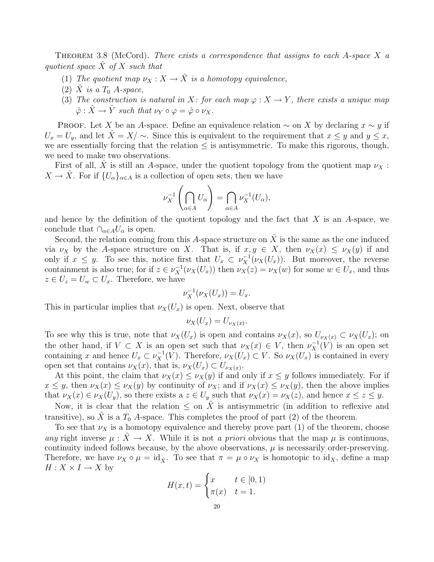THEOREM 3.8 (McCord). There exists a correspondence that assigns to each A-space X a quotient space  $\hat{X}$  of X such that

- (1) The quotient map  $\nu_X : X \to \hat{X}$  is a homotopy equivalence,
- (2)  $\hat{X}$  is a  $T_0$  A-space,
- (3) The construction is natural in X: for each map  $\varphi: X \to Y$ , there exists a unique map  $\hat{\varphi} : \hat{X} \to \hat{Y}$  such that  $\nu_Y \circ \varphi = \hat{\varphi} \circ \nu_X$ .

**PROOF.** Let X be an A-space. Define an equivalence relation  $\sim$  on X by declaring  $x \sim y$  if  $U_x = U_y$ , and let  $\hat{X} = X/\sim$ . Since this is equivalent to the requirement that  $x \leq y$  and  $y \leq x$ , we are essentially forcing that the relation  $\leq$  is antisymmetric. To make this rigorous, though, we need to make two observations.

First of all, X is still an A-space, under the quotient topology from the quotient map  $\nu_X$ :  $X \to \hat{X}$ . For if  $\{U_{\alpha}\}_{{\alpha \in A}}$  is a collection of open sets, then we have

$$
\nu_X^{-1}\left(\bigcap_{\alpha\in A}U_\alpha\right) = \bigcap_{\alpha\in A}\nu_X^{-1}(U_\alpha),
$$

and hence by the definition of the quotient topology and the fact that  $X$  is an  $A$ -space, we conclude that  $\cap_{\alpha \in A} U_{\alpha}$  is open.

Second, the relation coming from this A-space structure on  $\hat{X}$  is the same as the one induced via  $\nu_X$  by the A-space structure on X. That is, if  $x, y \in X$ , then  $\nu_X(x) \leq \nu_X(y)$  if and only if  $x \leq y$ . To see this, notice first that  $U_x \subset \nu_X^{-1}(\nu_X(U_x))$ . But moreover, the reverse containment is also true; for if  $z \in \nu_X^{-1}(\nu_X(U_x))$  then  $\nu_X(z) = \nu_X(w)$  for some  $w \in U_x$ , and thus  $z \in U_z = U_w \subset U_x$ . Therefore, we have

$$
\nu_X^{-1}(\nu_X(U_x)) = U_x.
$$

This in particular implies that  $\nu_X(U_x)$  is open. Next, observe that

$$
\nu_X(U_x) = U_{\nu_X(x)}.
$$

To see why this is true, note that  $\nu_X(U_x)$  is open and contains  $\nu_X(x)$ , so  $U_{\nu_X(x)} \subset \nu_X(U_x)$ ; on the other hand, if  $V \subset X$  is an open set such that  $\nu_X(x) \in V$ , then  $\nu_X^{-1}(V)$  is an open set containing x and hence  $U_x \subset \nu_X^{-1}(V)$ . Therefore,  $\nu_X(U_x) \subset V$ . So  $\nu_X(U_x)$  is contained in every open set that contains  $\nu_X(x)$ , that is,  $\nu_X(U_x) \subset U_{\nu_X(x)}$ .

At this point, the claim that  $\nu_X(x) \leq \nu_X(y)$  if and only if  $x \leq y$  follows immediately. For if  $x \leq y$ , then  $\nu_X(x) \leq \nu_X(y)$  by continuity of  $\nu_X$ ; and if  $\nu_X(x) \leq \nu_X(y)$ , then the above implies that  $\nu_X(x) \in \nu_X(U_y)$ , so there exists a  $z \in U_y$  such that  $\nu_X(x) = \nu_X(z)$ , and hence  $x \leq z \leq y$ .

Now, it is clear that the relation  $\leq$  on X is antisymmetric (in addition to reflexive and transitive), so  $\tilde{X}$  is a  $T_0$  A-space. This completes the proof of part (2) of the theorem.

To see that  $\nu_X$  is a homotopy equivalence and thereby prove part (1) of the theorem, choose any right inverse  $\mu : \hat{X} \to X$ . While it is not a priori obvious that the map  $\mu$  is continuous, continuity indeed follows because, by the above observations,  $\mu$  is necessarily order-preserving. Therefore, we have  $\nu_X \circ \mu = \mathrm{id}_{\hat{X}}$ . To see that  $\pi = \mu \circ \nu_X$  is homotopic to  $\mathrm{id}_X$ , define a map  $H: X \times I \to X$  by

$$
H(x,t) = \begin{cases} x & t \in [0,1) \\ \pi(x) & t = 1. \end{cases}
$$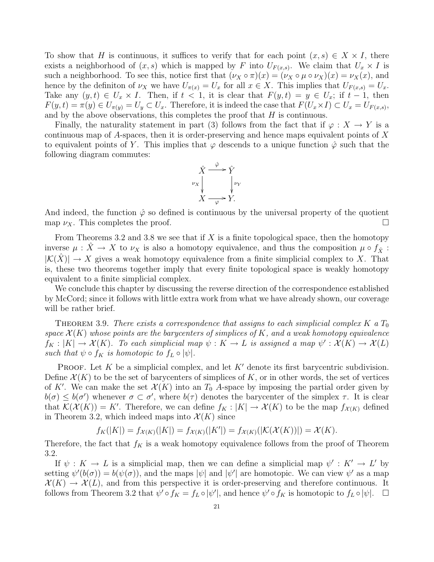To show that H is continuous, it suffices to verify that for each point  $(x, s) \in X \times I$ , there exists a neighborhood of  $(x, s)$  which is mapped by F into  $U_{F(x, s)}$ . We claim that  $U_x \times I$  is such a neighborhood. To see this, notice first that  $(\nu_X \circ \pi)(x) = (\nu_X \circ \mu \circ \nu_X)(x) = \nu_X(x)$ , and hence by the definiton of  $\nu_X$  we have  $U_{\pi(x)} = U_x$  for all  $x \in X$ . This implies that  $U_{F(x,s)} = U_x$ . Take any  $(y, t) \in U_x \times I$ . Then, if  $t < 1$ , it is clear that  $F(y, t) = y \in U_x$ ; if  $t - 1$ , then  $F(y,t) = \pi(y) \in U_{\pi(y)} = U_y \subset U_x$ . Therefore, it is indeed the case that  $F(U_x \times I) \subset U_x = U_{F(x,s)}$ , and by the above observations, this completes the proof that  $H$  is continuous.

Finally, the naturality statement in part (3) follows from the fact that if  $\varphi : X \to Y$  is a continuous map of A-spaces, then it is order-preserving and hence maps equivalent points of X to equivalent points of Y. This implies that  $\varphi$  descends to a unique function  $\hat{\varphi}$  such that the following diagram commutes:



And indeed, the function  $\hat{\varphi}$  so defined is continuous by the universal property of the quotient map  $\nu_X$ . This completes the proof.

From Theorems 3.2 and 3.8 we see that if  $X$  is a finite topological space, then the homotopy inverse  $\mu$  :  $\hat{X} \to X$  to  $\nu_X$  is also a homotopy equivalence, and thus the composition  $\mu \circ f_{\hat{X}}$ :  $|\mathcal{K}(\hat{X})| \to X$  gives a weak homotopy equivalence from a finite simplicial complex to X. That is, these two theorems together imply that every finite topological space is weakly homotopy equivalent to a finite simplicial complex.

We conclude this chapter by discussing the reverse direction of the correspondence established by McCord; since it follows with little extra work from what we have already shown, our coverage will be rather brief.

THEOREM 3.9. There exists a correspondence that assigns to each simplicial complex K a  $T_0$ space  $\mathcal{X}(K)$  whose points are the barycenters of simplices of K, and a weak homotopy equivalence  $f_K: |K| \to \mathcal{X}(K)$ . To each simplicial map  $\psi: K \to L$  is assigned a map  $\psi': \mathcal{X}(K) \to \mathcal{X}(L)$ such that  $\psi \circ f_K$  is homotopic to  $f_L \circ |\psi|$ .

**PROOF.** Let K be a simplicial complex, and let K' denote its first barycentric subdivision. Define  $\mathcal{X}(K)$  to be the set of barycenters of simplices of K, or in other words, the set of vertices of K'. We can make the set  $\mathcal{X}(K)$  into an  $T_0$  A-space by imposing the partial order given by  $b(\sigma) \leq b(\sigma')$  whenever  $\sigma \subset \sigma'$ , where  $b(\tau)$  denotes the barycenter of the simplex  $\tau$ . It is clear that  $\mathcal{K}(\mathcal{X}(K)) = K'$ . Therefore, we can define  $f_K : |K| \to \mathcal{X}(K)$  to be the map  $f_{\mathcal{X}(K)}$  defined in Theorem 3.2, which indeed maps into  $\mathcal{X}(K)$  since

$$
f_K(|K|) = f_{\mathcal{X}(K)}(|K|) = f_{\mathcal{X}(K)}(|K'|) = f_{\mathcal{X}(K)}(|\mathcal{K}(\mathcal{X}(K))|) = \mathcal{X}(K).
$$

Therefore, the fact that  $f_K$  is a weak homotopy equivalence follows from the proof of Theorem 3.2.

If  $\psi: K \to L$  is a simplicial map, then we can define a simplicial map  $\psi': K' \to L'$  by setting  $\psi'(b(\sigma)) = b(\psi(\sigma))$ , and the maps  $|\psi|$  and  $|\psi'|$  are homotopic. We can view  $\psi'$  as a map  $\mathcal{X}(K) \to \mathcal{X}(L)$ , and from this perspective it is order-preserving and therefore continuous. It follows from Theorem 3.2 that  $\psi' \circ f_K = f_L \circ |\psi'|$ , and hence  $\psi' \circ f_K$  is homotopic to  $f_L \circ |\psi|$ .  $\Box$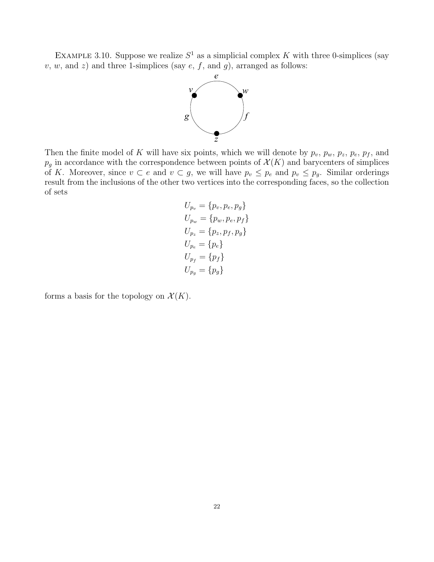EXAMPLE 3.10. Suppose we realize  $S^1$  as a simplicial complex K with three 0-simplices (say  $v, w,$  and  $z)$  and three 1-simplices (say  $e, f$ , and  $g$ ), arranged as follows:



Then the finite model of K will have six points, which we will denote by  $p_v$ ,  $p_w$ ,  $p_z$ ,  $p_e$ ,  $p_f$ , and  $p_g$  in accordance with the correspondence between points of  $\mathcal{X}(K)$  and barycenters of simplices of K. Moreover, since  $v \subset e$  and  $v \subset g$ , we will have  $p_v \leq p_e$  and  $p_v \leq p_g$ . Similar orderings result from the inclusions of the other two vertices into the corresponding faces, so the collection of sets

$$
U_{p_v} = \{p_v, p_e, p_g\}
$$
  
\n
$$
U_{p_w} = \{p_w, p_e, p_f\}
$$
  
\n
$$
U_{p_z} = \{p_z, p_f, p_g\}
$$
  
\n
$$
U_{p_e} = \{p_e\}
$$
  
\n
$$
U_{p_f} = \{p_f\}
$$
  
\n
$$
U_{p_g} = \{p_g\}
$$

forms a basis for the topology on  $\mathcal{X}(K)$ .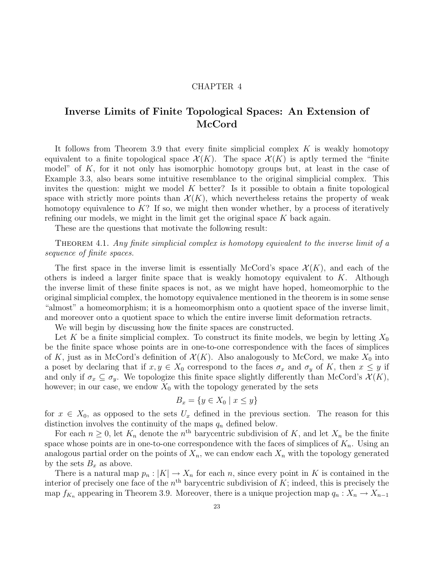## Inverse Limits of Finite Topological Spaces: An Extension of  $\operatorname{McCord}$

It follows from Theorem 3.9 that every finite simplicial complex  $K$  is weakly homotopy equivalent to a finite topological space  $\mathcal{X}(K)$ . The space  $\mathcal{X}(K)$  is aptly termed the "finite" model" of  $K$ , for it not only has isomorphic homotopy groups but, at least in the case of Example 3.3, also bears some intuitive resemblance to the original simplicial complex. This invites the question: might we model K better? Is it possible to obtain a finite topological space with strictly more points than  $\mathcal{X}(K)$ , which nevertheless retains the property of weak homotopy equivalence to  $K$ ? If so, we might then wonder whether, by a process of iteratively refining our models, we might in the limit get the original space  $K$  back again.

These are the questions that motivate the following result:

THEOREM 4.1. Any finite simplicial complex is homotopy equivalent to the inverse limit of a sequence of finite spaces.

The first space in the inverse limit is essentially McCord's space  $\mathcal{X}(K)$ , and each of the others is indeed a larger finite space that is weakly homotopy equivalent to  $K$ . Although the inverse limit of these finite spaces is not, as we might have hoped, homeomorphic to the original simplicial complex, the homotopy equivalence mentioned in the theorem is in some sense "almost" a homeomorphism; it is a homeomorphism onto a quotient space of the inverse limit, and moreover onto a quotient space to which the entire inverse limit deformation retracts.

We will begin by discussing how the finite spaces are constructed.

Let K be a finite simplicial complex. To construct its finite models, we begin by letting  $X_0$ be the finite space whose points are in one-to-one correspondence with the faces of simplices of K, just as in McCord's definition of  $\mathcal{X}(K)$ . Also analogously to McCord, we make  $X_0$  into a poset by declaring that if  $x, y \in X_0$  correspond to the faces  $\sigma_x$  and  $\sigma_y$  of K, then  $x \leq y$  if and only if  $\sigma_x \subseteq \sigma_y$ . We topologize this finite space slightly differently than McCord's  $\mathcal{X}(K)$ , however; in our case, we endow  $X_0$  with the topology generated by the sets

$$
B_x = \{ y \in X_0 \mid x \le y \}
$$

for  $x \in X_0$ , as opposed to the sets  $U_x$  defined in the previous section. The reason for this distinction involves the continuity of the maps  $q_n$  defined below.

For each  $n \geq 0$ , let  $K_n$  denote the  $n^{\text{th}}$  barycentric subdivision of K, and let  $X_n$  be the finite space whose points are in one-to-one correspondence with the faces of simplices of  $K_n$ . Using an analogous partial order on the points of  $X_n$ , we can endow each  $X_n$  with the topology generated by the sets  $B_x$  as above.

There is a natural map  $p_n : |K| \to X_n$  for each n, since every point in K is contained in the interior of precisely one face of the  $n<sup>th</sup>$  barycentric subdivision of K; indeed, this is precisely the map  $f_{K_n}$  appearing in Theorem 3.9. Moreover, there is a unique projection map  $q_n : X_n \to X_{n-1}$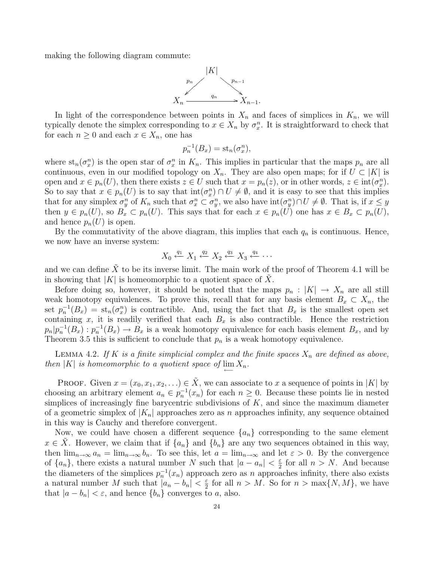making the following diagram commute:



In light of the correspondence between points in  $X_n$  and faces of simplices in  $K_n$ , we will typically denote the simplex corresponding to  $x \in X_n$  by  $\sigma_x^n$ . It is straightforward to check that for each  $n \geq 0$  and each  $x \in X_n$ , one has

$$
p_n^{-1}(B_x) = \mathrm{st}_n(\sigma_x^n),
$$

where  $\operatorname{st}_n(\sigma_x^n)$  is the open star of  $\sigma_x^n$  in  $K_n$ . This implies in particular that the maps  $p_n$  are all continuous, even in our modified topology on  $X_n$ . They are also open maps; for if  $U \subset |K|$  is open and  $x \in p_n(U)$ , then there exists  $z \in U$  such that  $x = p_n(z)$ , or in other words,  $z \in \text{int}(\sigma_x^n)$ . So to say that  $x \in p_n(U)$  is to say that  $\text{int}(\sigma_x^n) \cap U \neq \emptyset$ , and it is easy to see that this implies that for any simplex  $\sigma_y^n$  of  $K_n$  such that  $\sigma_x^n \subset \sigma_y^n$ , we also have  $\text{int}(\sigma_y^n) \cap U \neq \emptyset$ . That is, if  $x \leq y$ then  $y \in p_n(U)$ , so  $B_x \subset p_n(U)$ . This says that for each  $x \in p_n(U)$  one has  $x \in B_x \subset p_n(U)$ , and hence  $p_n(U)$  is open.

By the commutativity of the above diagram, this implies that each  $q_n$  is continuous. Hence, we now have an inverse system:

$$
X_0 \stackrel{q_1}{\leftarrow} X_1 \stackrel{q_2}{\leftarrow} X_2 \stackrel{q_3}{\leftarrow} X_3 \stackrel{q_4}{\leftarrow} \cdots
$$

and we can define X to be its inverse limit. The main work of the proof of Theorem 4.1 will be in showing that  $|K|$  is homeomorphic to a quotient space of X.

Before doing so, however, it should be noted that the maps  $p_n : |K| \to X_n$  are all still weak homotopy equivalences. To prove this, recall that for any basis element  $B_x \subset X_n$ , the set  $p_n^{-1}(B_x) = \text{st}_n(\sigma_x^n)$  is contractible. And, using the fact that  $B_x$  is the smallest open set containing x, it is readily verified that each  $B_x$  is also contractible. Hence the restriction  $p_n|p_n^{-1}(B_x): p_n^{-1}(B_x) \to B_x$  is a weak homotopy equivalence for each basis element  $B_x$ , and by Theorem 3.5 this is sufficient to conclude that  $p_n$  is a weak homotopy equivalence.

LEMMA 4.2. If K is a finite simplicial complex and the finite spaces  $X_n$  are defined as above, then |K| is homeomorphic to a quotient space of  $\lim_{n \to \infty} X_n$ .

PROOF. Given  $x = (x_0, x_1, x_2, ...) \in \tilde{X}$ , we can associate to x a sequence of points in |K| by choosing an arbitrary element  $a_n \in p_n^{-1}(x_n)$  for each  $n \geq 0$ . Because these points lie in nested simplices of increasingly fine barycentric subdivisions of  $K$ , and since the maximum diameter of a geometric simplex of  $|K_n|$  approaches zero as n approaches infinity, any sequence obtained in this way is Cauchy and therefore convergent.

Now, we could have chosen a different sequence  $\{a_n\}$  corresponding to the same element  $x \in X$ . However, we claim that if  $\{a_n\}$  and  $\{b_n\}$  are any two sequences obtained in this way, then  $\lim_{n\to\infty} a_n = \lim_{n\to\infty} b_n$ . To see this, let  $a = \lim_{n\to\infty} a_n$  and let  $\varepsilon > 0$ . By the convergence of  $\{a_n\}$ , there exists a natural number N such that  $|a - a_n| < \frac{\varepsilon}{2}$  $\frac{\varepsilon}{2}$  for all  $n > N$ . And because the diameters of the simplices  $p_n^{-1}(x_n)$  approach zero as n approaches infinity, there also exists a natural number M such that  $|a_n - b_n| < \frac{\varepsilon}{2}$  $\frac{\varepsilon}{2}$  for all  $n > M$ . So for  $n > \max\{N, M\}$ , we have that  $|a - b_n| < \varepsilon$ , and hence  $\{b_n\}$  converges to a, also.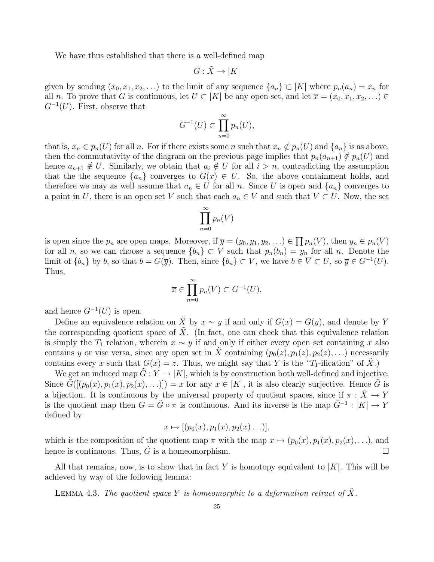We have thus established that there is a well-defined map

$$
G: \tilde{X} \to |K|
$$

given by sending  $(x_0, x_1, x_2, \ldots)$  to the limit of any sequence  $\{a_n\} \subset |K|$  where  $p_n(a_n) = x_n$  for all n. To prove that G is continuous, let  $U \subset |K|$  be any open set, and let  $\overline{x} = (x_0, x_1, x_2, ...) \in$  $G^{-1}(U)$ . First, observe that

$$
G^{-1}(U) \subset \prod_{n=0}^{\infty} p_n(U),
$$

that is,  $x_n \in p_n(U)$  for all n. For if there exists some n such that  $x_n \notin p_n(U)$  and  $\{a_n\}$  is as above, then the commutativity of the diagram on the previous page implies that  $p_n(a_{n+1}) \notin p_n(U)$  and hence  $a_{n+1} \notin U$ . Similarly, we obtain that  $a_i \notin U$  for all  $i > n$ , contradicting the assumption that the the sequence  $\{a_n\}$  converges to  $G(\overline{x}) \in U$ . So, the above containment holds, and therefore we may as well assume that  $a_n \in U$  for all n. Since U is open and  $\{a_n\}$  converges to a point in U, there is an open set V such that each  $a_n \in V$  and such that  $\overline{V} \subset U$ . Now, the set

$$
\prod_{n=0}^{\infty} p_n(V)
$$

is open since the  $p_n$  are open maps. Moreover, if  $\overline{y} = (y_0, y_1, y_2, ...) \in \prod p_n(V)$ , then  $y_n \in p_n(V)$ for all n, so we can choose a sequence  $\{b_n\} \subset V$  such that  $p_n(b_n) = y_n$  for all n. Denote the limit of  $\{b_n\}$  by b, so that  $b = G(\overline{y})$ . Then, since  $\{b_n\} \subset V$ , we have  $b \in \overline{V} \subset U$ , so  $\overline{y} \in G^{-1}(U)$ . Thus,

$$
\overline{x} \in \prod_{n=0}^{\infty} p_n(V) \subset G^{-1}(U),
$$

and hence  $G^{-1}(U)$  is open.

Define an equivalence relation on  $\tilde{X}$  by  $x \sim y$  if and only if  $G(x) = G(y)$ , and denote by Y the corresponding quotient space of  $\tilde{X}$ . (In fact, one can check that this equivalence relation is simply the  $T_1$  relation, wherein  $x \sim y$  if and only if either every open set containing x also contains y or vise versa, since any open set in  $\tilde{X}$  containing  $(p_0(z), p_1(z), p_2(z), ...)$  necessarily contains every x such that  $G(x) = z$ . Thus, we might say that Y is the "T<sub>1</sub>-ification" of  $\tilde{X}$ .)

We get an induced map  $G: Y \to |K|$ , which is by construction both well-defined and injective. Since  $\tilde{G}([p_0(x), p_1(x), p_2(x), ...)$ ]) = x for any  $x \in |K|$ , it is also clearly surjective. Hence  $\tilde{G}$  is a bijection. It is continuous by the universal property of quotient spaces, since if  $\pi$  :  $\tilde{X} \rightarrow Y$ is the quotient map then  $G = \tilde{G} \circ \pi$  is continuous. And its inverse is the map  $\tilde{G}^{-1}: |K| \to Y$ defined by

$$
x \mapsto [(p_0(x), p_1(x), p_2(x) \ldots)],
$$

which is the composition of the quotient map  $\pi$  with the map  $x \mapsto (p_0(x), p_1(x), p_2(x), \ldots)$ , and hence is continuous. Thus,  $\tilde{G}$  is a homeomorphism.

All that remains, now, is to show that in fact Y is homotopy equivalent to  $|K|$ . This will be achieved by way of the following lemma:

LEMMA 4.3. The quotient space Y is homeomorphic to a deformation retract of X.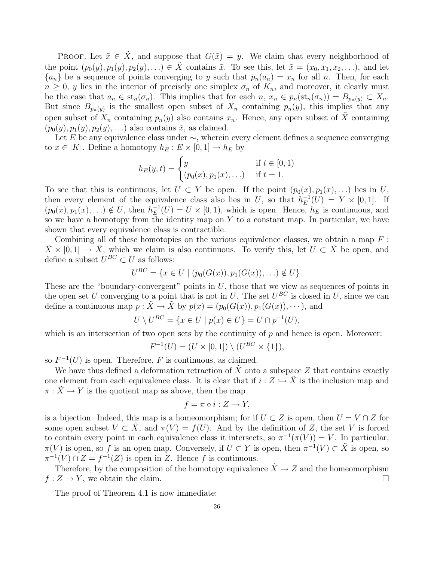**PROOF.** Let  $\tilde{x} \in \tilde{X}$ , and suppose that  $G(\tilde{x}) = y$ . We claim that every neighborhood of the point  $(p_0(y), p_1(y), p_2(y), ...) \in \tilde{X}$  contains  $\tilde{x}$ . To see this, let  $\tilde{x} = (x_0, x_1, x_2, \ldots)$ , and let  ${a_n}$  be a sequence of points converging to y such that  $p_n(a_n) = x_n$  for all n. Then, for each  $n \geq 0$ , y lies in the interior of precisely one simplex  $\sigma_n$  of  $K_n$ , and moreover, it clearly must be the case that  $a_n \in st_n(\sigma_n)$ . This implies that for each  $n, x_n \in p_n(st_n(\sigma_n)) = B_{p_n(y)} \subset X_n$ . But since  $B_{p_n(y)}$  is the smallest open subset of  $X_n$  containing  $p_n(y)$ , this implies that any open subset of  $X_n$  containing  $p_n(y)$  also contains  $x_n$ . Hence, any open subset of  $\tilde{X}$  containing  $(p_0(y), p_1(y), p_2(y), \ldots)$  also contains  $\tilde{x}$ , as claimed.

Let E be any equivalence class under  $\sim$ , wherein every element defines a sequence converging to  $x \in |K|$ . Define a homotopy  $h_E : E \times [0,1] \to h_E$  by

$$
h_E(y, t) = \begin{cases} y & \text{if } t \in [0, 1) \\ (p_0(x), p_1(x), \ldots) & \text{if } t = 1. \end{cases}
$$

To see that this is continuous, let  $U \subset Y$  be open. If the point  $(p_0(x), p_1(x), ...)$  lies in U, then every element of the equivalence class also lies in U, so that  $h_E^{-1}$  $E^{-1}(U) = Y \times [0,1].$  If  $(p_0(x), p_1(x), ...) \notin U$ , then  $h_E^{-1}$  $E^{-1}(U) = U \times [0, 1)$ , which is open. Hence,  $h_E$  is continuous, and so we have a homotopy from the identity map on  $Y$  to a constant map. In particular, we have shown that every equivalence class is contractible.

Combining all of these homotopies on the various equivalence classes, we obtain a map  $F$ :  $\overline{X} \times [0, 1] \to \overline{X}$ , which we claim is also continuous. To verify this, let  $U \subset \overline{X}$  be open, and define a subset  $U^{BC} \subset U$  as follows:

$$
U^{BC} = \{x \in U \mid (p_0(G(x)), p_1(G(x)), \ldots) \notin U\}.
$$

These are the "boundary-convergent" points in  $U$ , those that we view as sequences of points in the open set U converging to a point that is not in U. The set  $U^{BC}$  is closed in U, since we can define a continuous map  $p : \tilde{X} \to \tilde{X}$  by  $p(x) = (p_0(G(x)), p_1(G(x)), \dots)$ , and

$$
U \setminus U^{BC} = \{ x \in U \mid p(x) \in U \} = U \cap p^{-1}(U),
$$

which is an intersection of two open sets by the continuity of  $p$  and hence is open. Moreover:

$$
F^{-1}(U) = (U \times [0,1]) \setminus (U^{BC} \times \{1\}),
$$

so  $F^{-1}(U)$  is open. Therefore, F is continuous, as claimed.

We have thus defined a deformation retraction of  $\tilde{X}$  onto a subspace Z that contains exactly one element from each equivalence class. It is clear that if  $i : Z \hookrightarrow X$  is the inclusion map and  $\pi : \tilde{X} \to Y$  is the quotient map as above, then the map

$$
f = \pi \circ i : Z \to Y,
$$

is a bijection. Indeed, this map is a homeomorphism; for if  $U \subset Z$  is open, then  $U = V \cap Z$  for some open subset  $V \subset X$ , and  $\pi(V) = f(U)$ . And by the definition of Z, the set V is forced to contain every point in each equivalence class it intersects, so  $\pi^{-1}(\pi(V)) = V$ . In particular,  $\pi(V)$  is open, so f is an open map. Conversely, if  $U \subset Y$  is open, then  $\pi^{-1}(V) \subset \tilde{X}$  is open, so  $\pi^{-1}(V) \cap Z = f^{-1}(Z)$  is open in Z. Hence f is continuous.

Therefore, by the composition of the homotopy equivalence  $\tilde{X} \to Z$  and the homeomorphism  $f: Z \to Y$ , we obtain the claim.

The proof of Theorem 4.1 is now immediate: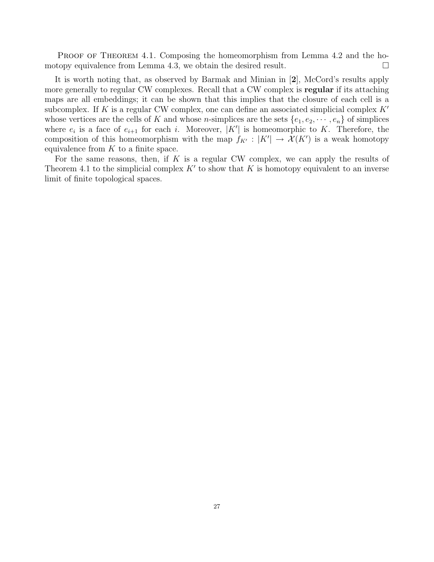PROOF OF THEOREM 4.1. Composing the homeomorphism from Lemma 4.2 and the homotopy equivalence from Lemma 4.3, we obtain the desired result.  $\Box$ 

It is worth noting that, as observed by Barmak and Minian in [2], McCord's results apply more generally to regular CW complexes. Recall that a CW complex is regular if its attaching maps are all embeddings; it can be shown that this implies that the closure of each cell is a subcomplex. If K is a regular CW complex, one can define an associated simplicial complex  $K'$ whose vertices are the cells of K and whose *n*-simplices are the sets  $\{e_1, e_2, \dots, e_n\}$  of simplices where  $e_i$  is a face of  $e_{i+1}$  for each i. Moreover,  $|K'|$  is homeomorphic to K. Therefore, the composition of this homeomorphism with the map  $f_{K'} : |K'| \to \mathcal{X}(K')$  is a weak homotopy equivalence from  $K$  to a finite space.

For the same reasons, then, if  $K$  is a regular CW complex, we can apply the results of Theorem 4.1 to the simplicial complex  $K'$  to show that K is homotopy equivalent to an inverse limit of finite topological spaces.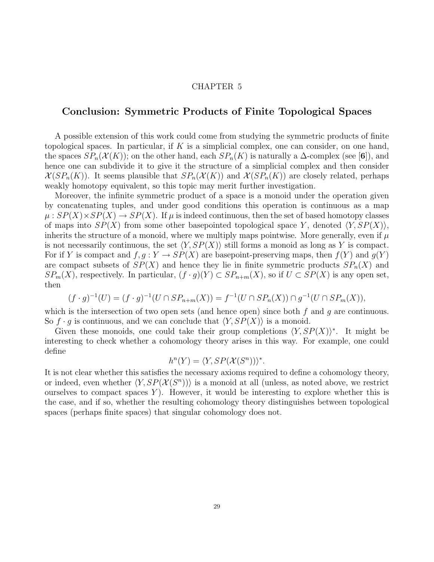## Conclusion: Symmetric Products of Finite Topological Spaces

A possible extension of this work could come from studying the symmetric products of finite topological spaces. In particular, if K is a simplicial complex, one can consider, on one hand, the spaces  $SP_n(\mathcal{X}(K))$ ; on the other hand, each  $SP_n(K)$  is naturally a  $\Delta$ -complex (see [6]), and hence one can subdivide it to give it the structure of a simplicial complex and then consider  $\mathcal{X}(SP_n(K))$ . It seems plausible that  $SP_n(\mathcal{X}(K))$  and  $\mathcal{X}(SP_n(K))$  are closely related, perhaps weakly homotopy equivalent, so this topic may merit further investigation.

Moreover, the infinite symmetric product of a space is a monoid under the operation given by concatenating tuples, and under good conditions this operation is continuous as a map  $\mu: SP(X) \times SP(X) \rightarrow SP(X)$ . If  $\mu$  is indeed continuous, then the set of based homotopy classes of maps into  $SP(X)$  from some other basepointed topological space Y, denoted  $\langle Y, SP(X) \rangle$ , inherits the structure of a monoid, where we multiply maps pointwise. More generally, even if  $\mu$ is not necessarily continuous, the set  $\langle Y, SP(X) \rangle$  still forms a monoid as long as Y is compact. For if Y is compact and  $f, g: Y \to SP(X)$  are basepoint-preserving maps, then  $f(Y)$  and  $g(Y)$ are compact subsets of  $SP(X)$  and hence they lie in finite symmetric products  $SP_n(X)$  and  $SP_m(X)$ , respectively. In particular,  $(f \cdot g)(Y) \subset SP_{n+m}(X)$ , so if  $U \subset SP(X)$  is any open set, then

$$
(f \cdot g)^{-1}(U) = (f \cdot g)^{-1}(U \cap SP_{n+m}(X)) = f^{-1}(U \cap SP_n(X)) \cap g^{-1}(U \cap SP_m(X)),
$$

which is the intersection of two open sets (and hence open) since both  $f$  and  $q$  are continuous. So  $f \cdot q$  is continuous, and we can conclude that  $\langle Y, SP(X) \rangle$  is a monoid.

Given these monoids, one could take their group completions  $\langle Y, SP(X) \rangle^*$ . It might be interesting to check whether a cohomology theory arises in this way. For example, one could define

$$
h^{n}(Y) = \langle Y, SP(X(S^{n})) \rangle^{*}.
$$

It is not clear whether this satisfies the necessary axioms required to define a cohomology theory, or indeed, even whether  $\langle Y, SP(X(S<sup>n</sup>)) \rangle$  is a monoid at all (unless, as noted above, we restrict ourselves to compact spaces Y. However, it would be interesting to explore whether this is the case, and if so, whether the resulting cohomology theory distinguishes between topological spaces (perhaps finite spaces) that singular cohomology does not.